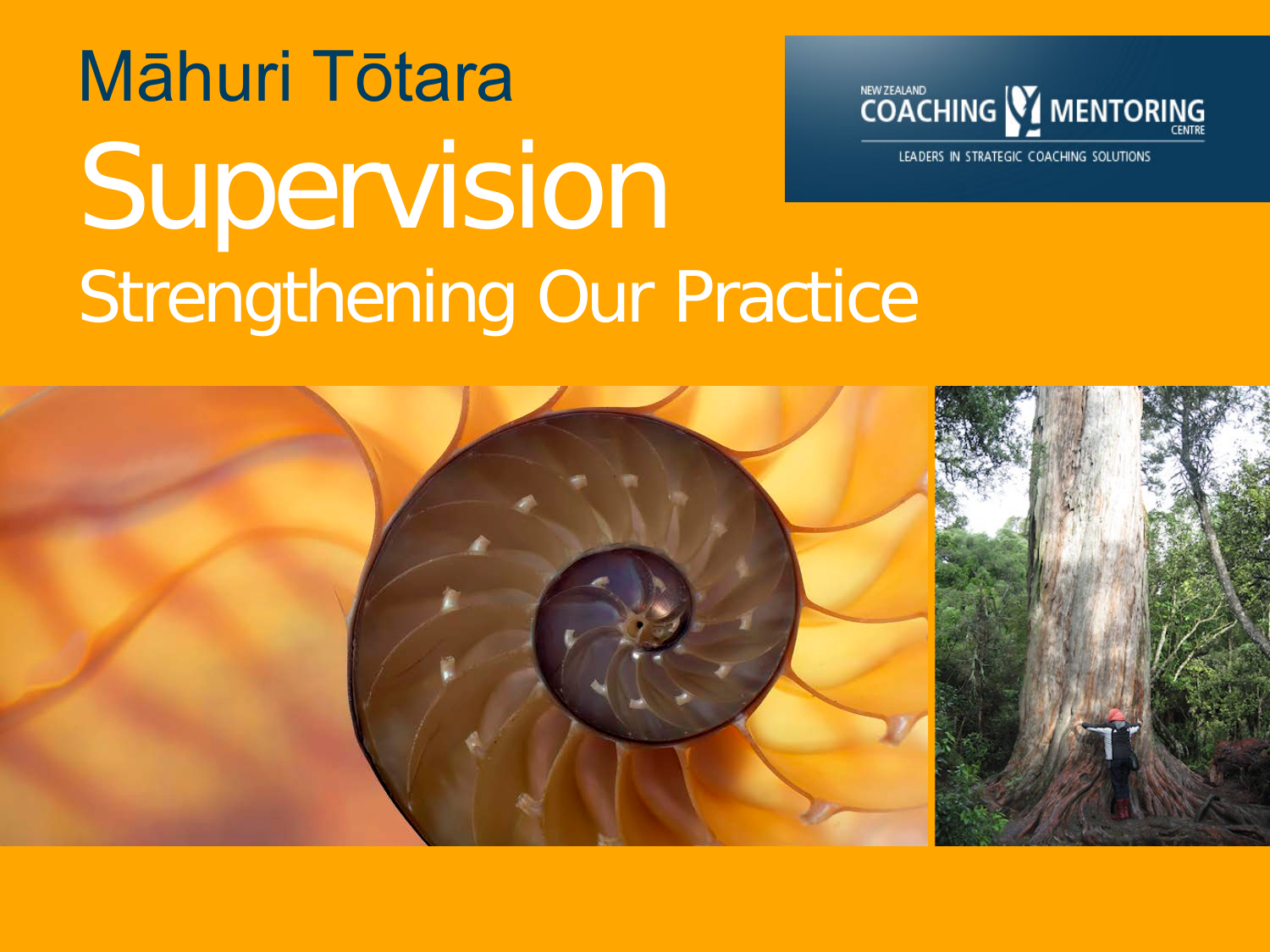## Supervision Strengthening Our Practice Māhuri Tōtara



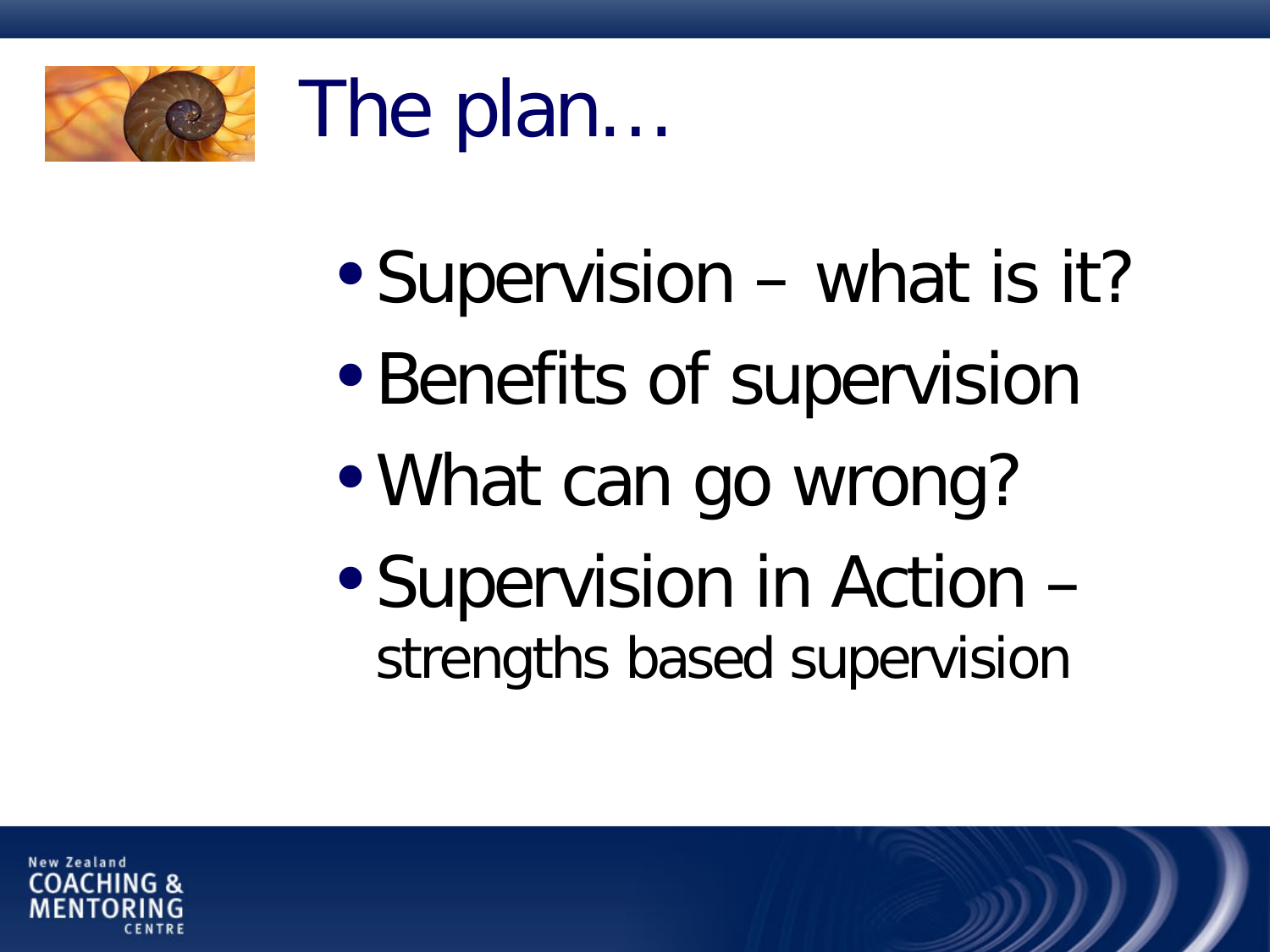



- Supervision what is it?
- Benefits of supervision
- What can go wrong?
- Supervision in Action strengths based supervision

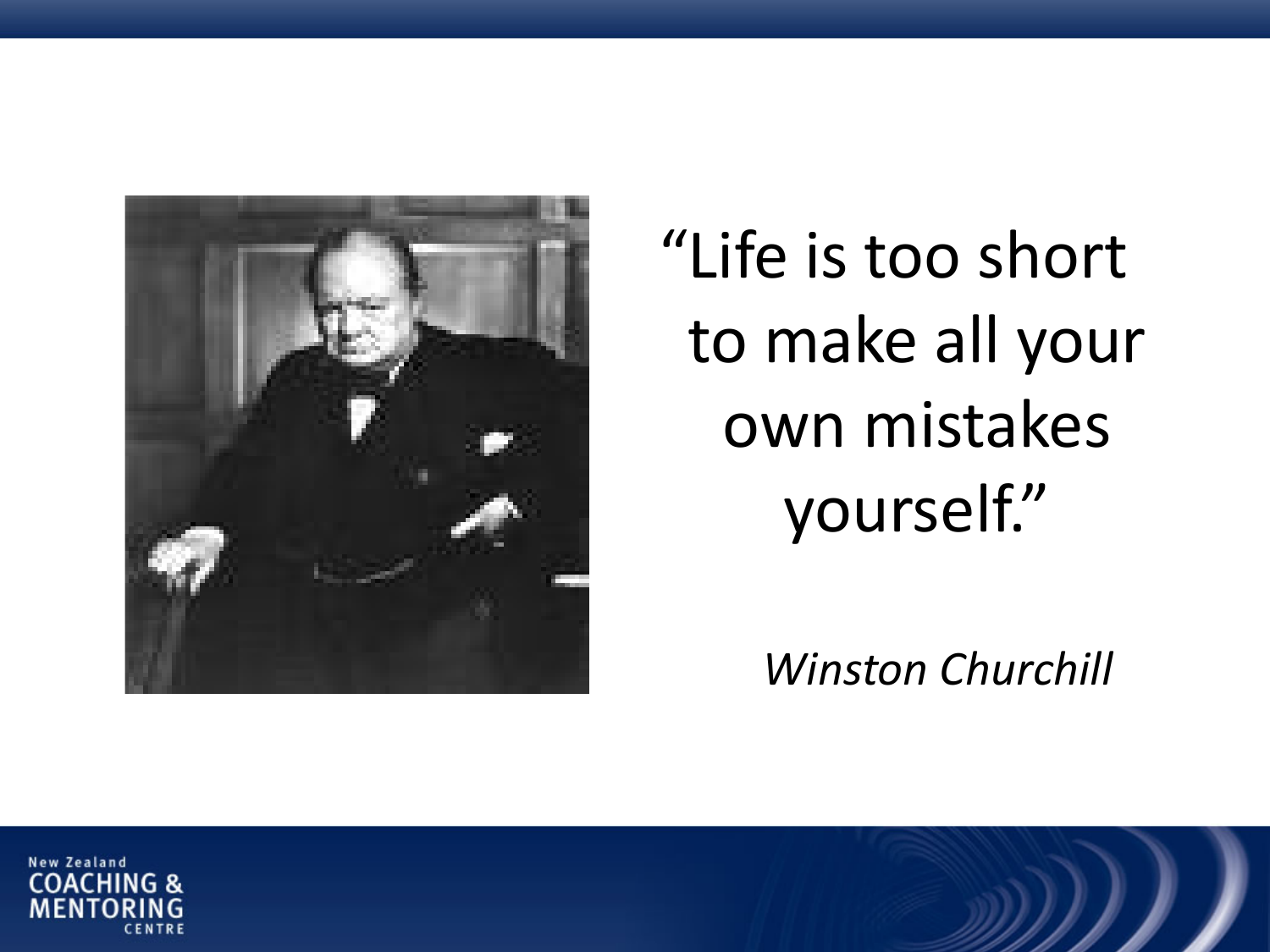

"Life is too short to make all your own mistakes yourself."

*Winston Churchill*

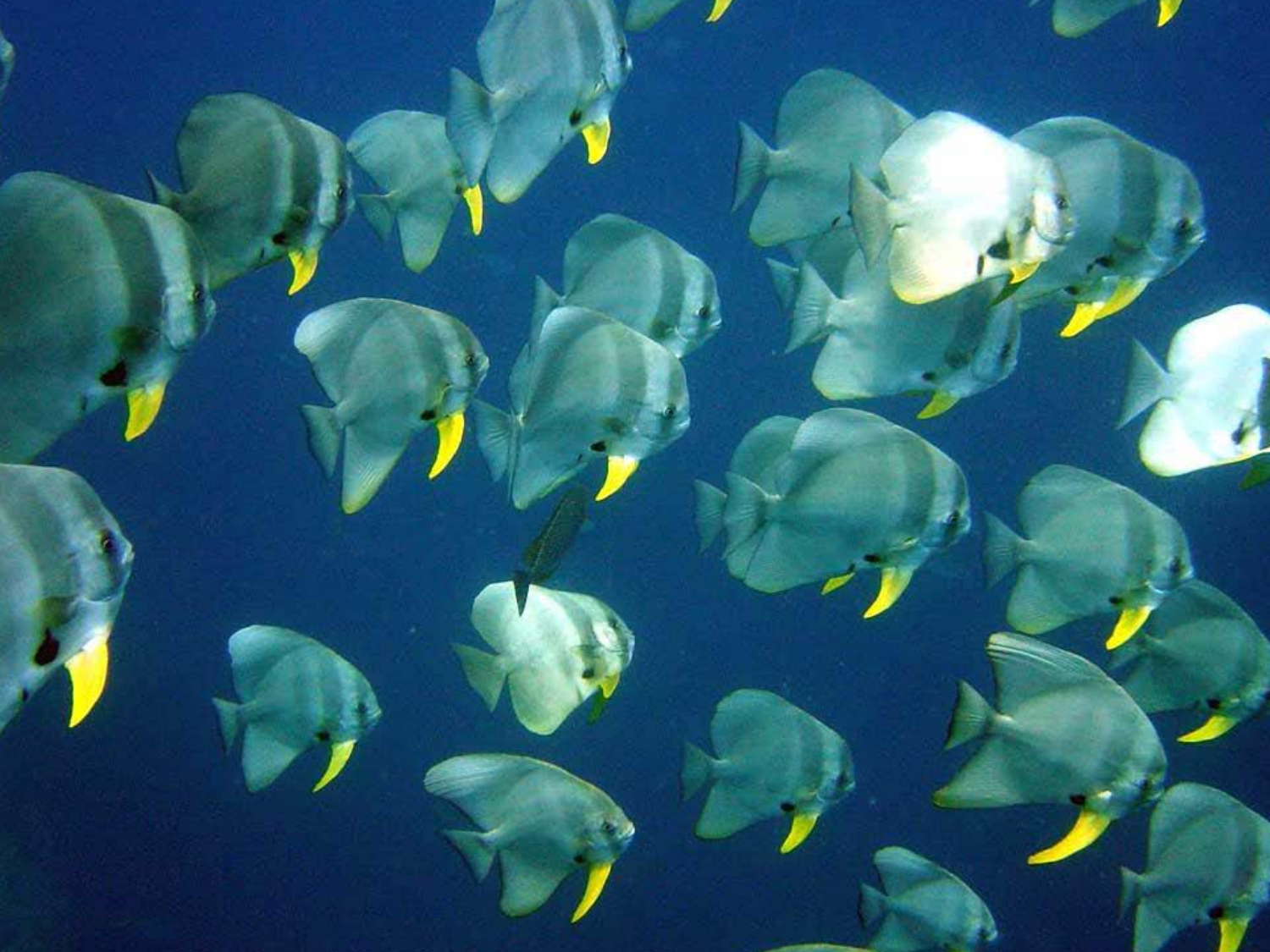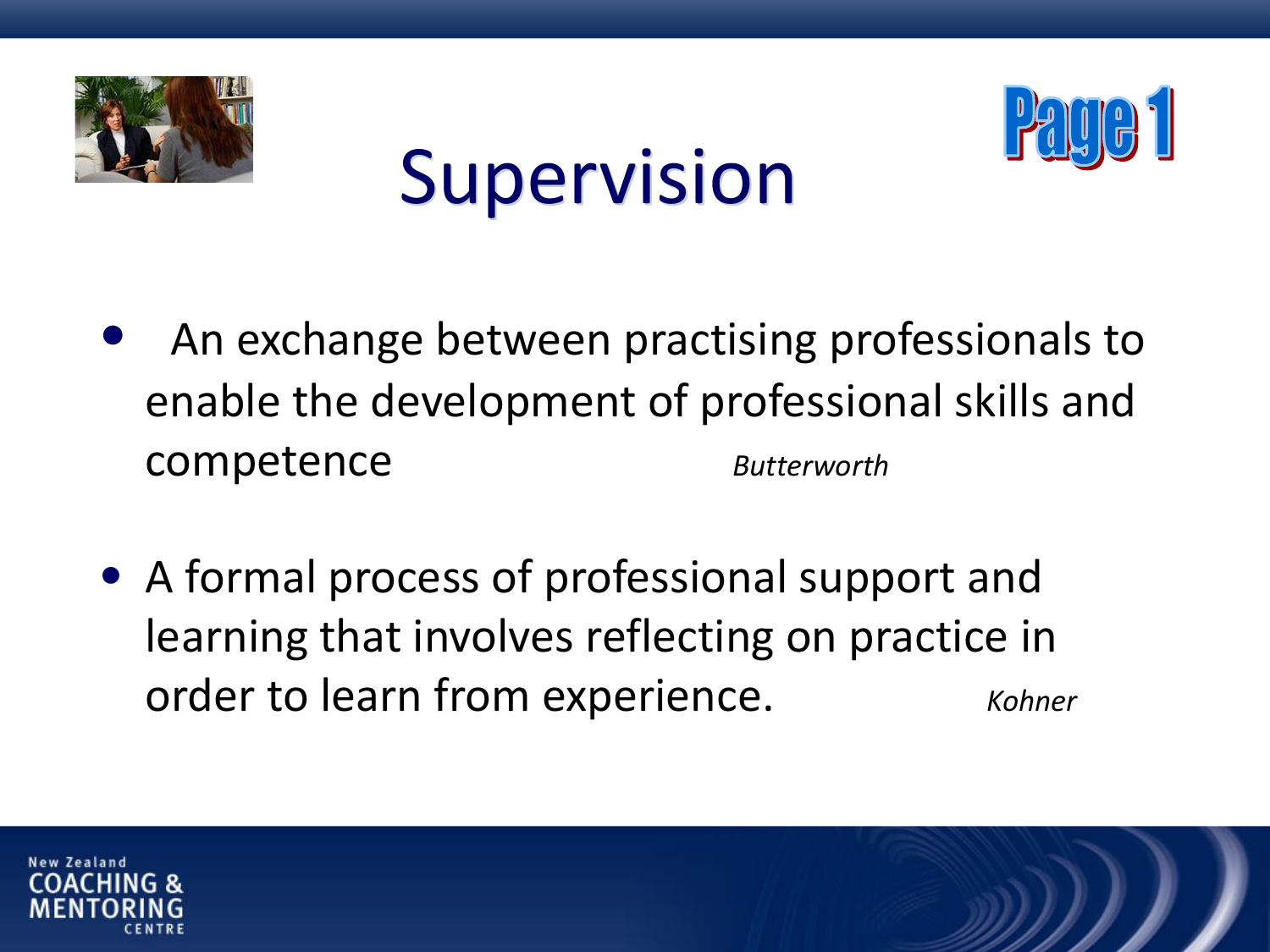

### Supervision



- An exchange between practising professionals to enable the development of professional skills and competence *Butterworth*
- A formal process of professional support and learning that involves reflecting on practice in order to learn from experience. **Kohner**

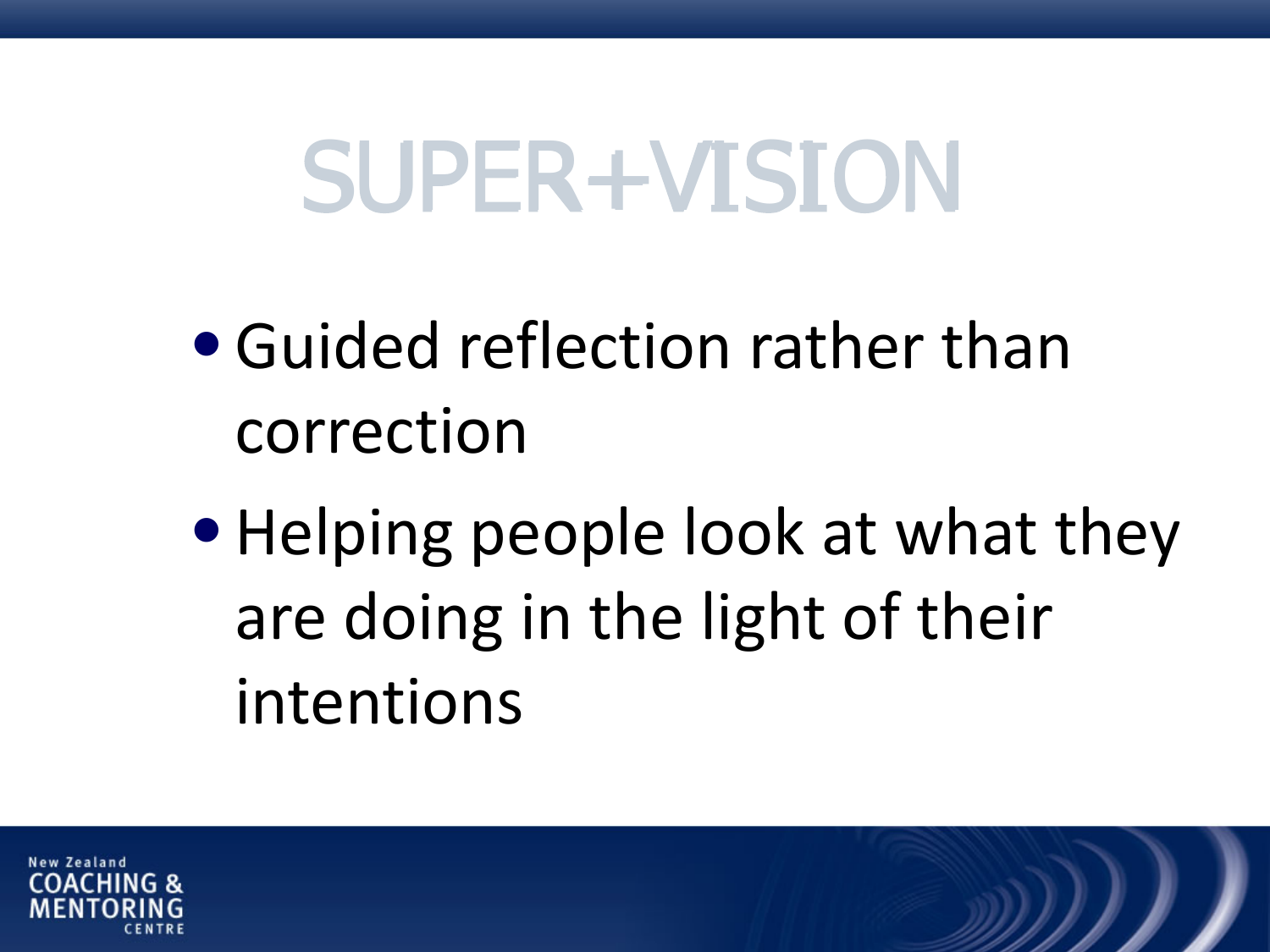## SUPER+VISION

- •Guided reflection rather than correction
- Helping people look at what they are doing in the light of their intentions

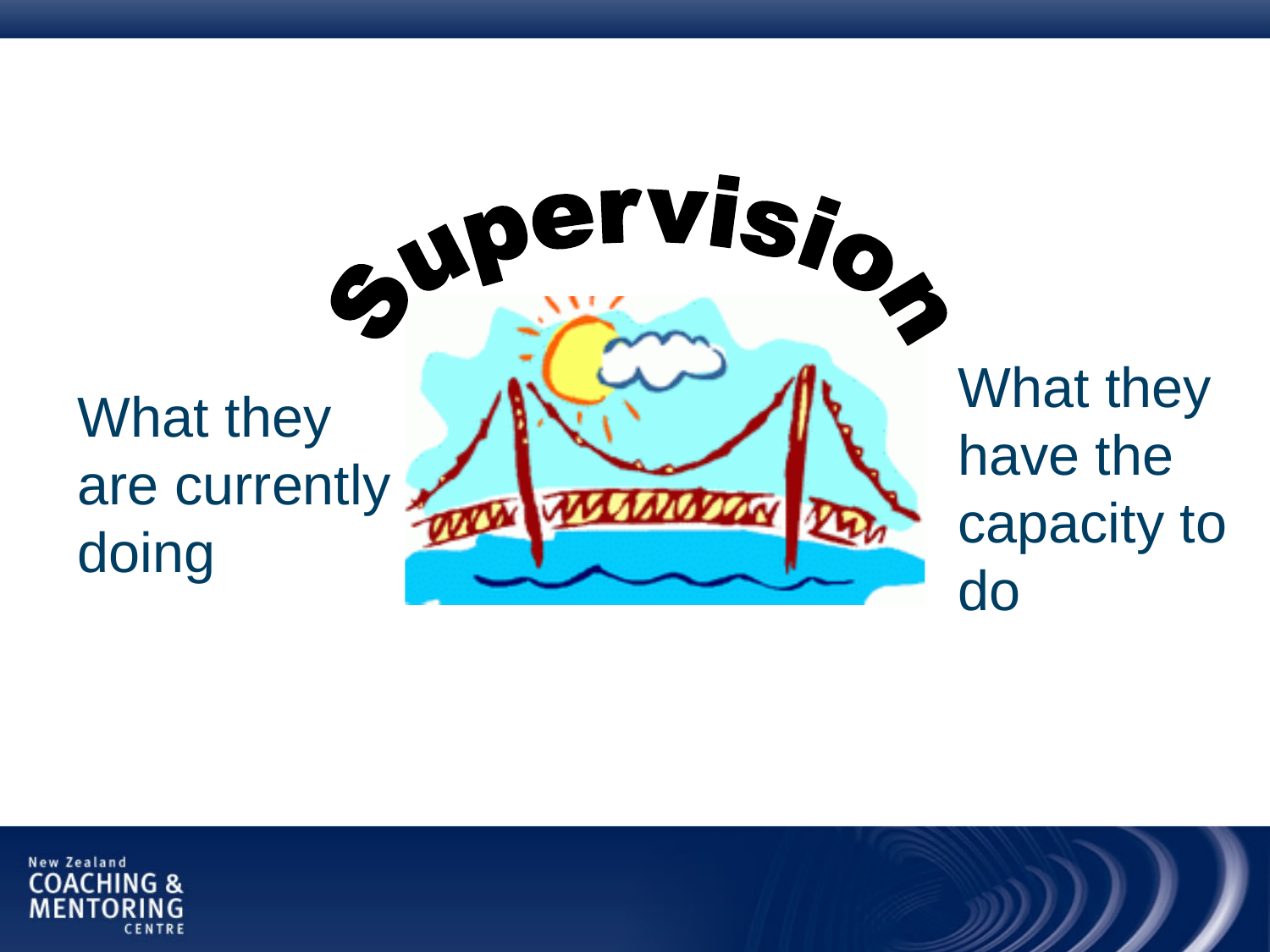

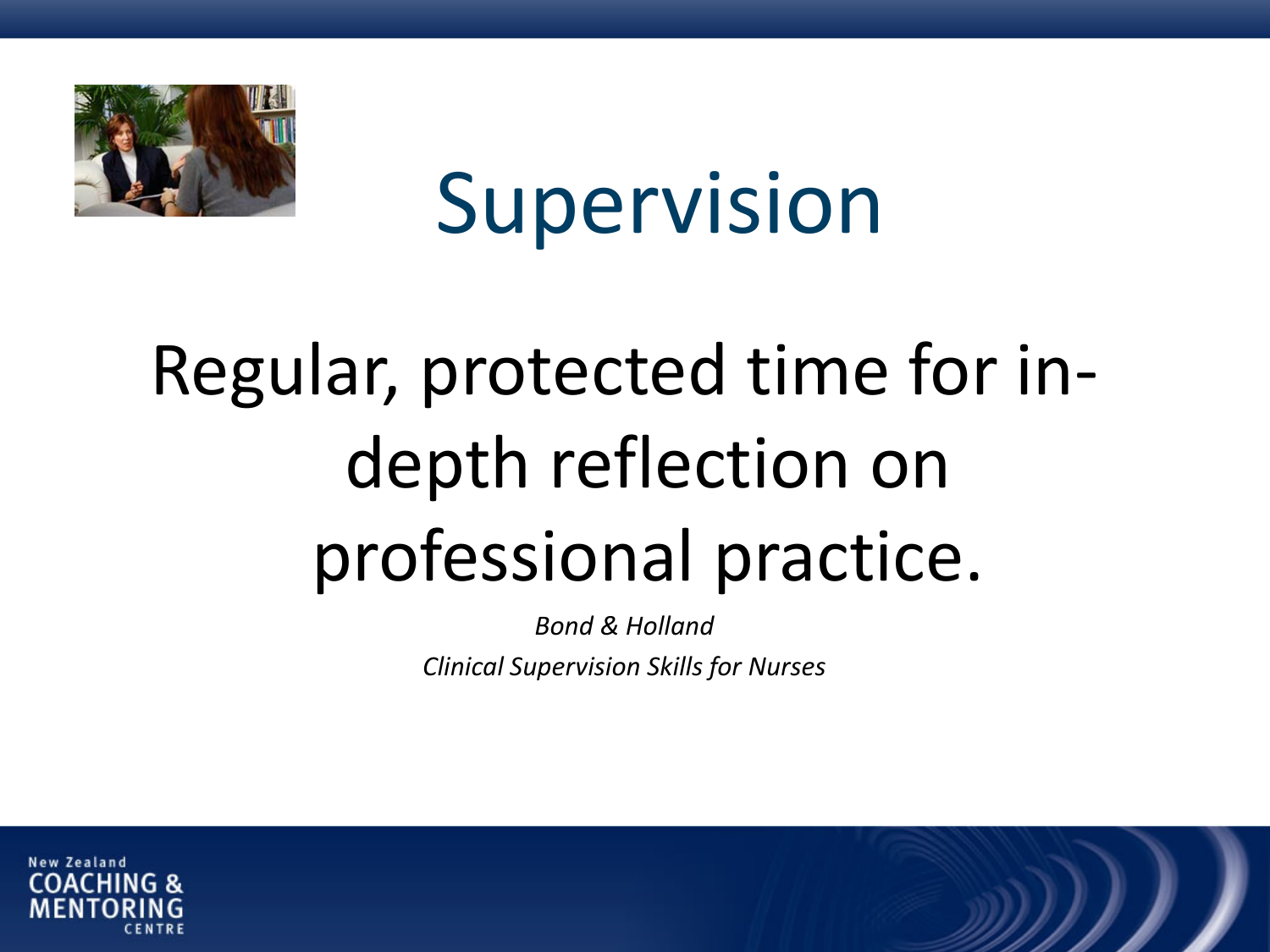

Supervision

## Regular, protected time for indepth reflection on professional practice.

*Bond & Holland Clinical Supervision Skills for Nurses*

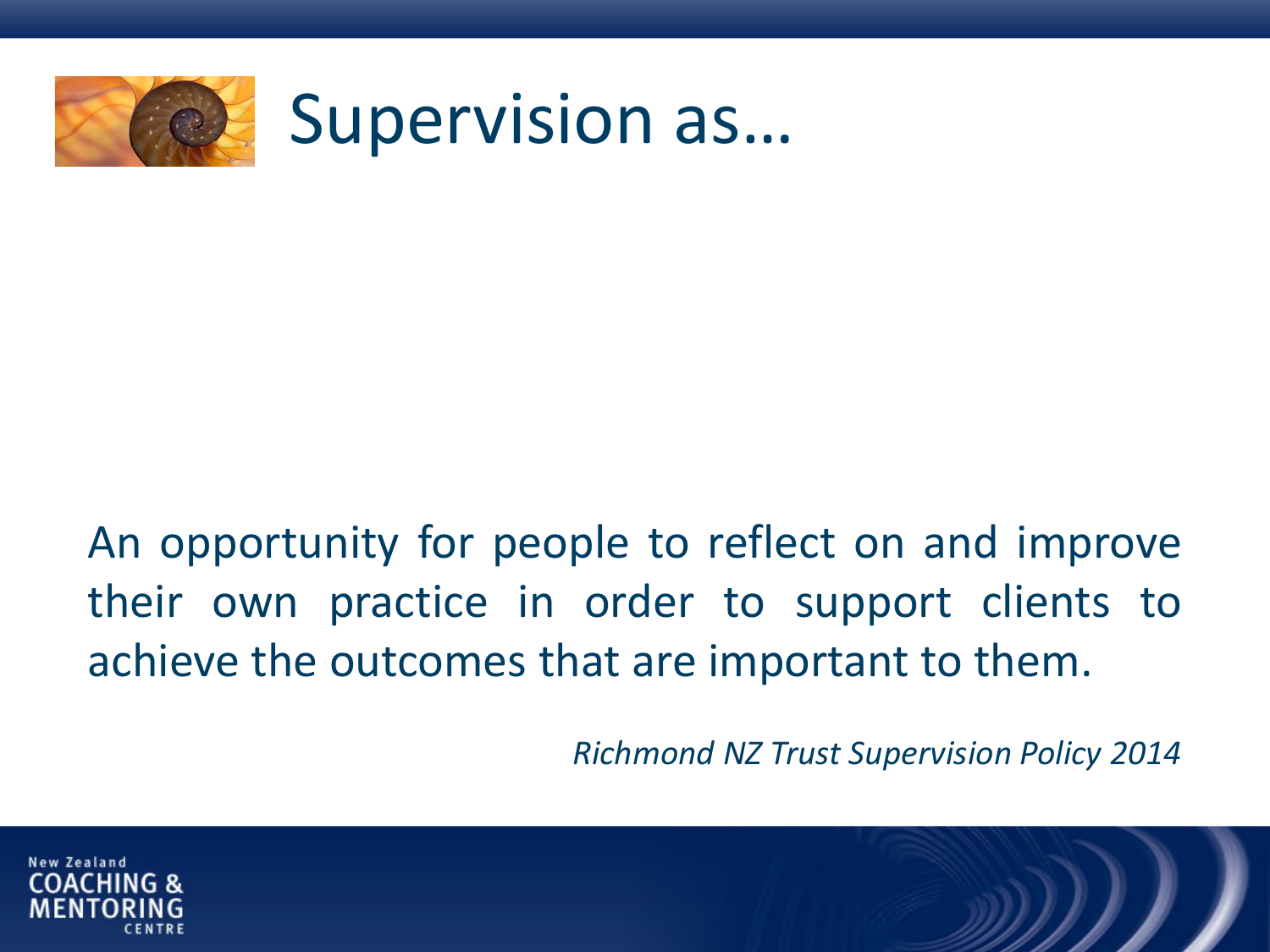

#### An opportunity for people to reflect on and improve their own practice in order to support clients to achieve the outcomes that are important to them.

*Richmond NZ Trust Supervision Policy 2014*

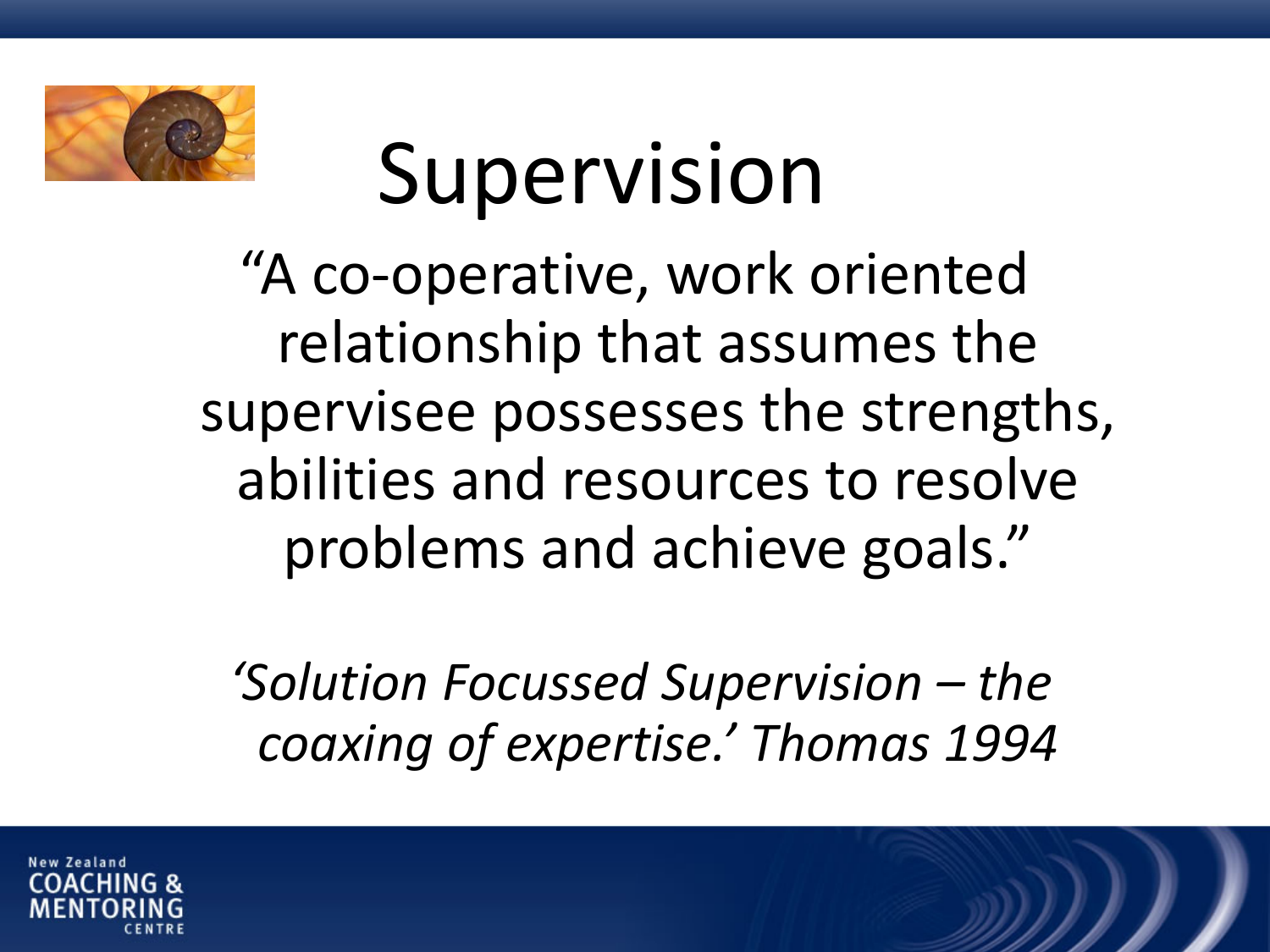

## Supervision

"A co-operative, work oriented relationship that assumes the supervisee possesses the strengths, abilities and resources to resolve problems and achieve goals."

*'Solution Focussed Supervision – the coaxing of expertise.' Thomas 1994*

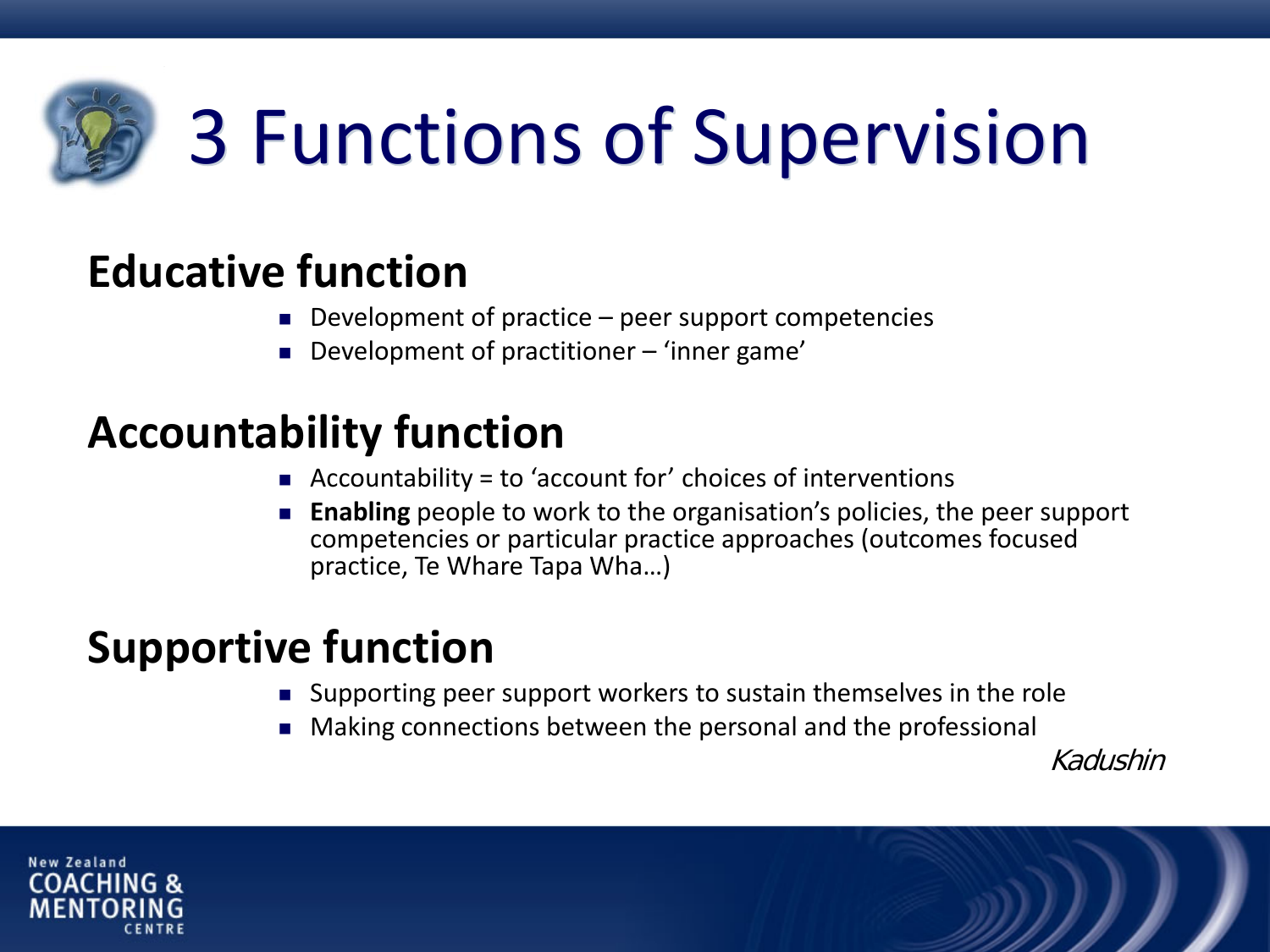## 3 Functions of Supervision

#### **Educative function**

- $\blacksquare$  Development of practice peer support competencies
- Development of practitioner 'inner game'

#### **Accountability function**

- Accountability = to 'account for' choices of interventions
- **Enabling** people to work to the organisation's policies, the peer support competencies or particular practice approaches (outcomes focused practice, Te Whare Tapa Wha…)

#### **Supportive function**

- Supporting peer support workers to sustain themselves in the role
- Making connections between the personal and the professional

Kadushin

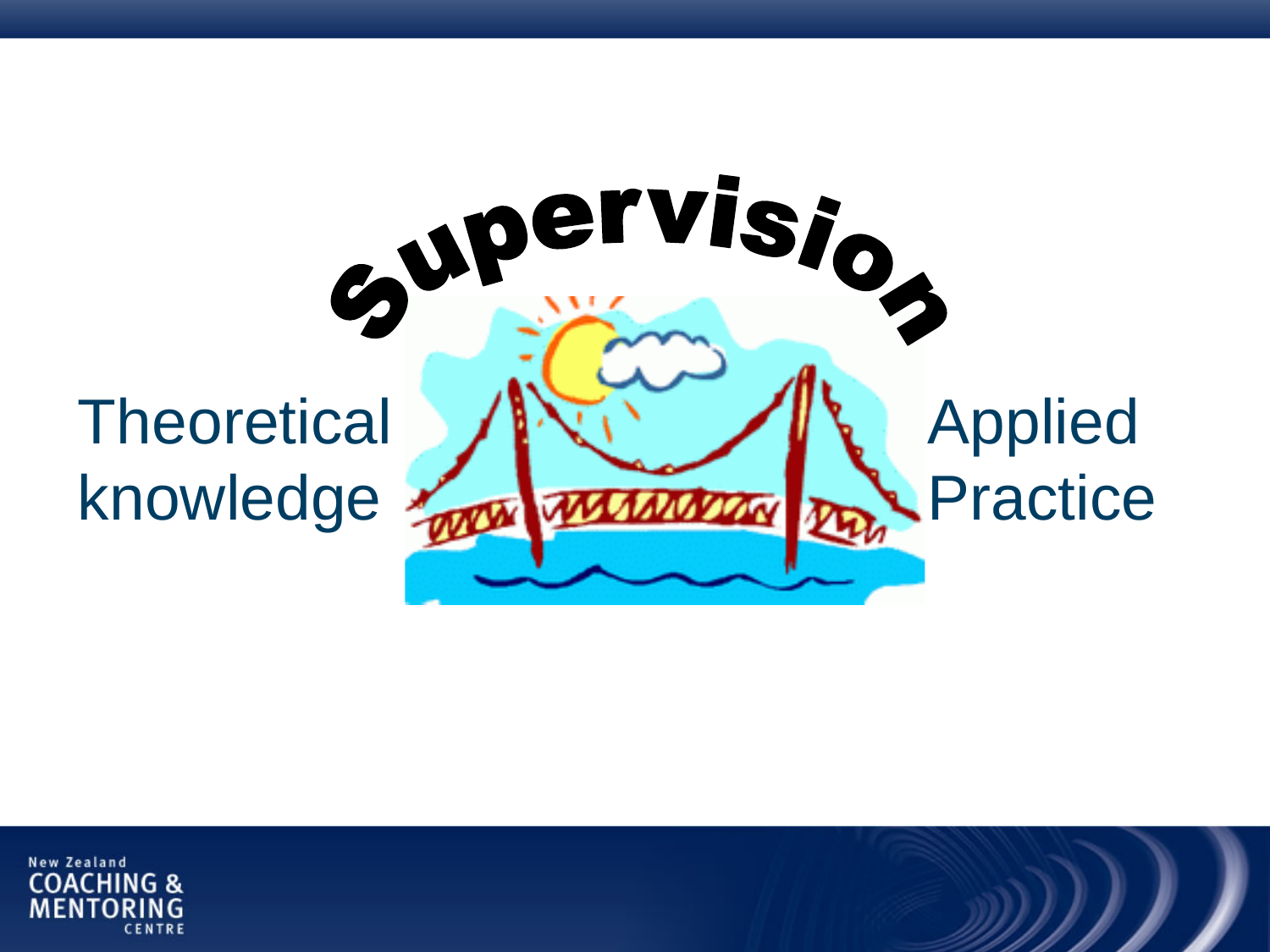

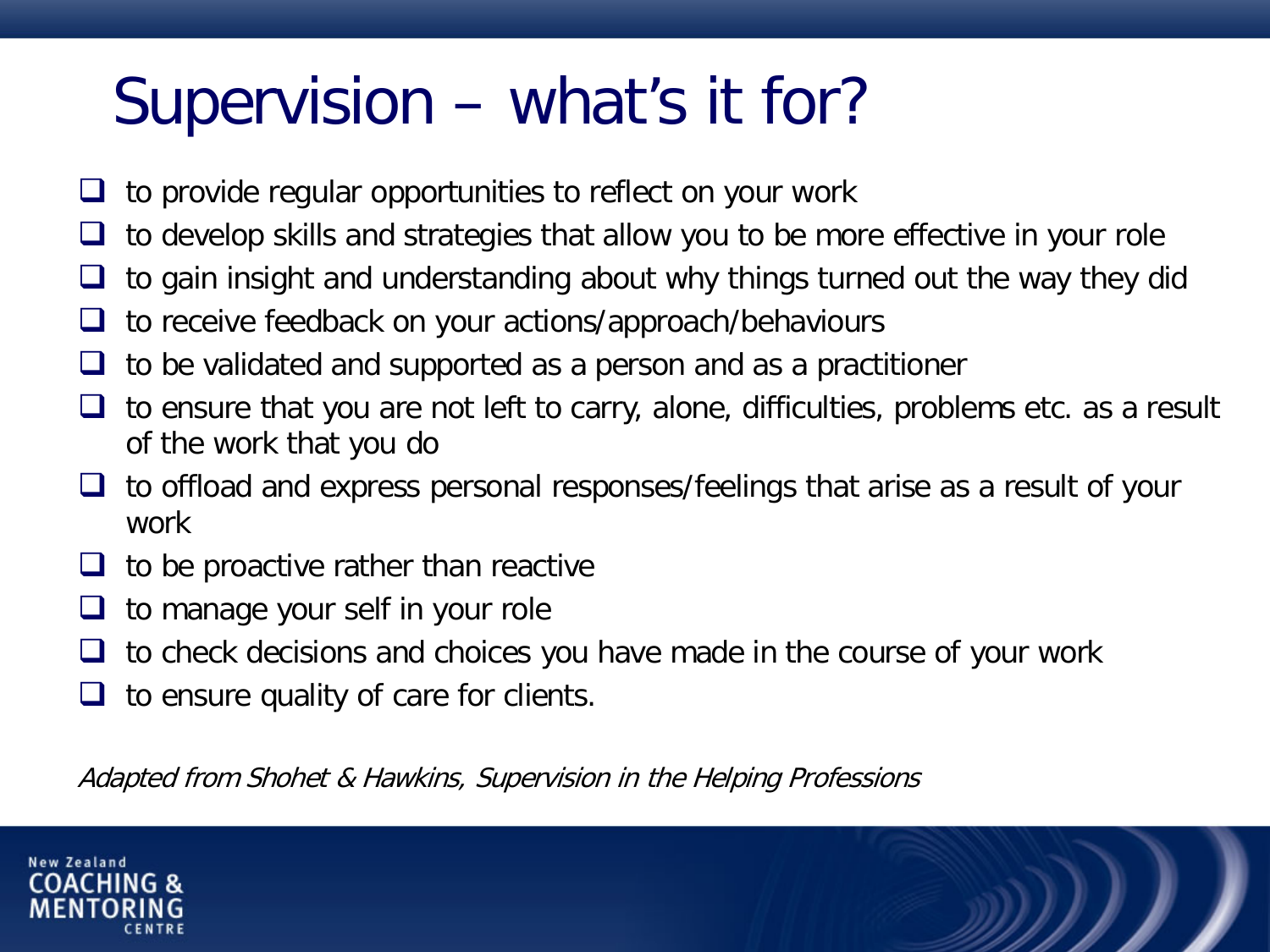### Supervision – what's it for?

- $\Box$  to provide regular opportunities to reflect on your work
- $\Box$  to develop skills and strategies that allow you to be more effective in your role
- to gain insight and understanding about why things turned out the way they did
- $\Box$  to receive feedback on your actions/approach/behaviours
- to be validated and supported as a person and as a practitioner
- to ensure that you are not left to carry, alone, difficulties, problems etc. as a result of the work that you do
- $\Box$  to offload and express personal responses/feelings that arise as a result of your work
- $\Box$  to be proactive rather than reactive
- to manage your self in your role
- $\Box$  to check decisions and choices you have made in the course of your work
- $\Box$  to ensure quality of care for clients.

Adapted from Shohet & Hawkins, Supervision in the Helping Professions

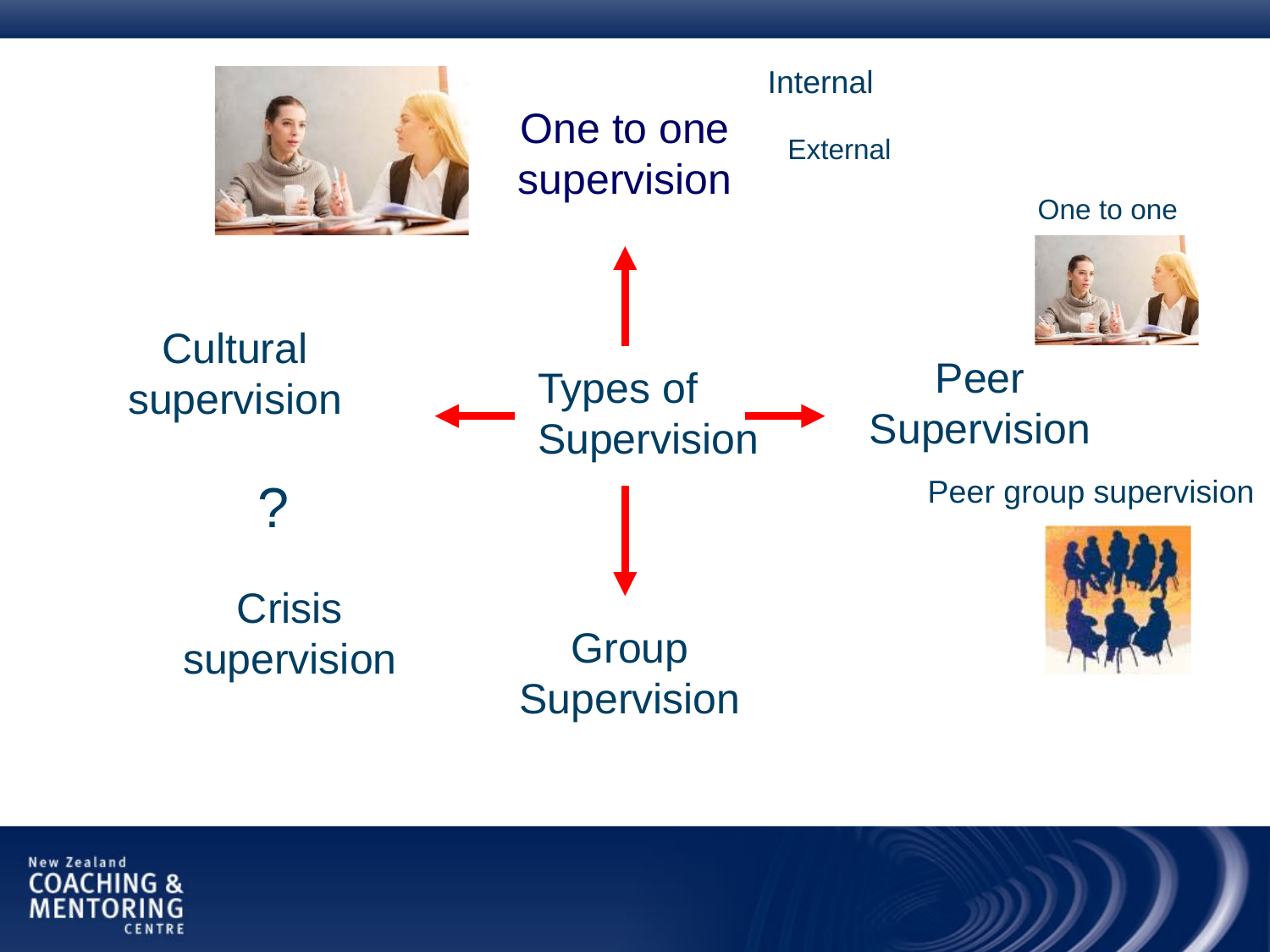

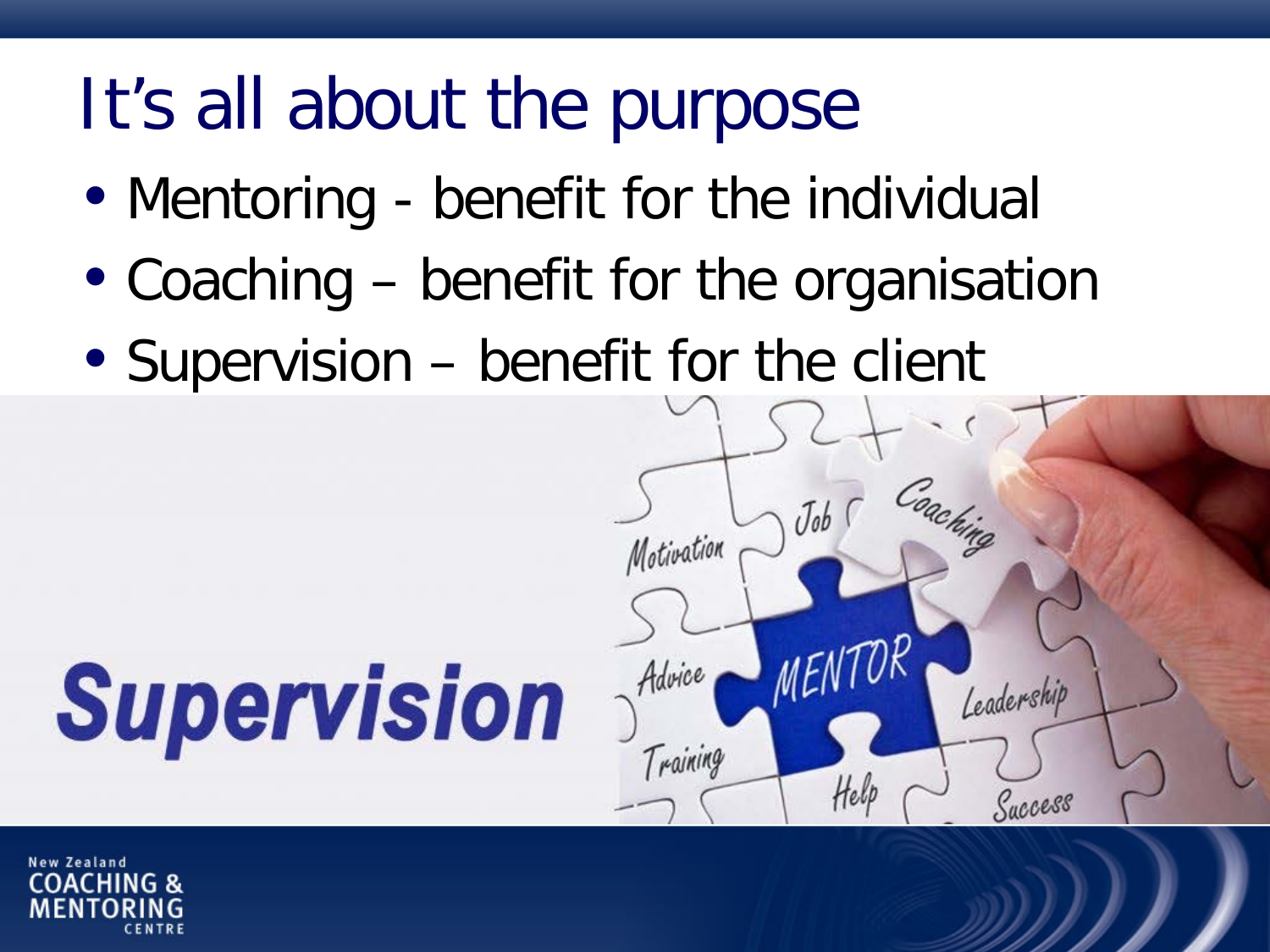### It's all about the purpose

- Mentoring benefit for the individual
- Coaching benefit for the organisation
- Supervision benefit for the client

## **Supervision**



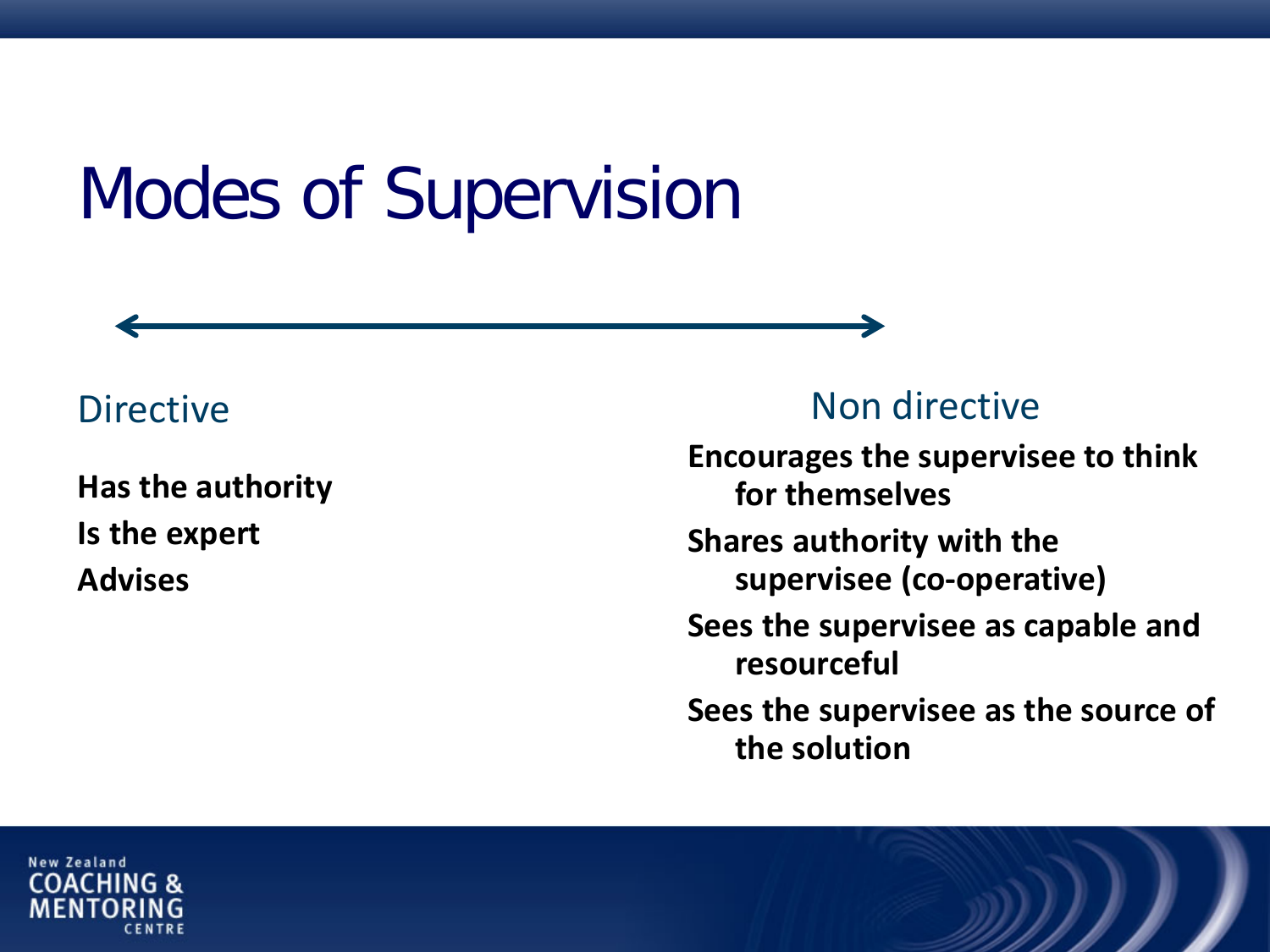### Modes of Supervision

#### **Directive**

**Has the authority Is the expert Advises** 

#### Non directive

**Encourages the supervisee to think for themselves**

**Shares authority with the supervisee (co-operative)**

**Sees the supervisee as capable and resourceful**

**Sees the supervisee as the source of the solution**

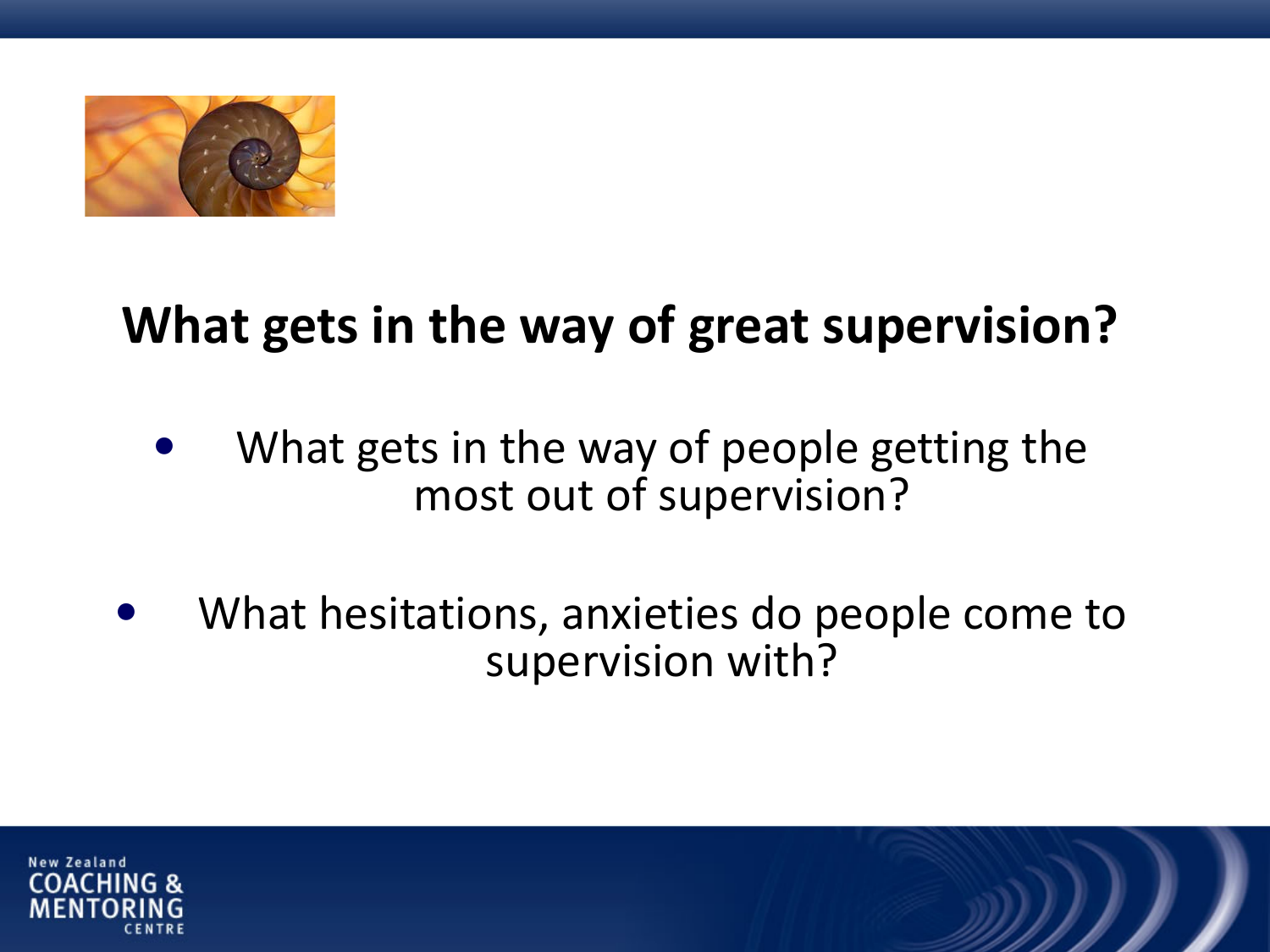

### **What gets in the way of great supervision?**

- What gets in the way of people getting the most out of supervision?
- What hesitations, anxieties do people come to supervision with?

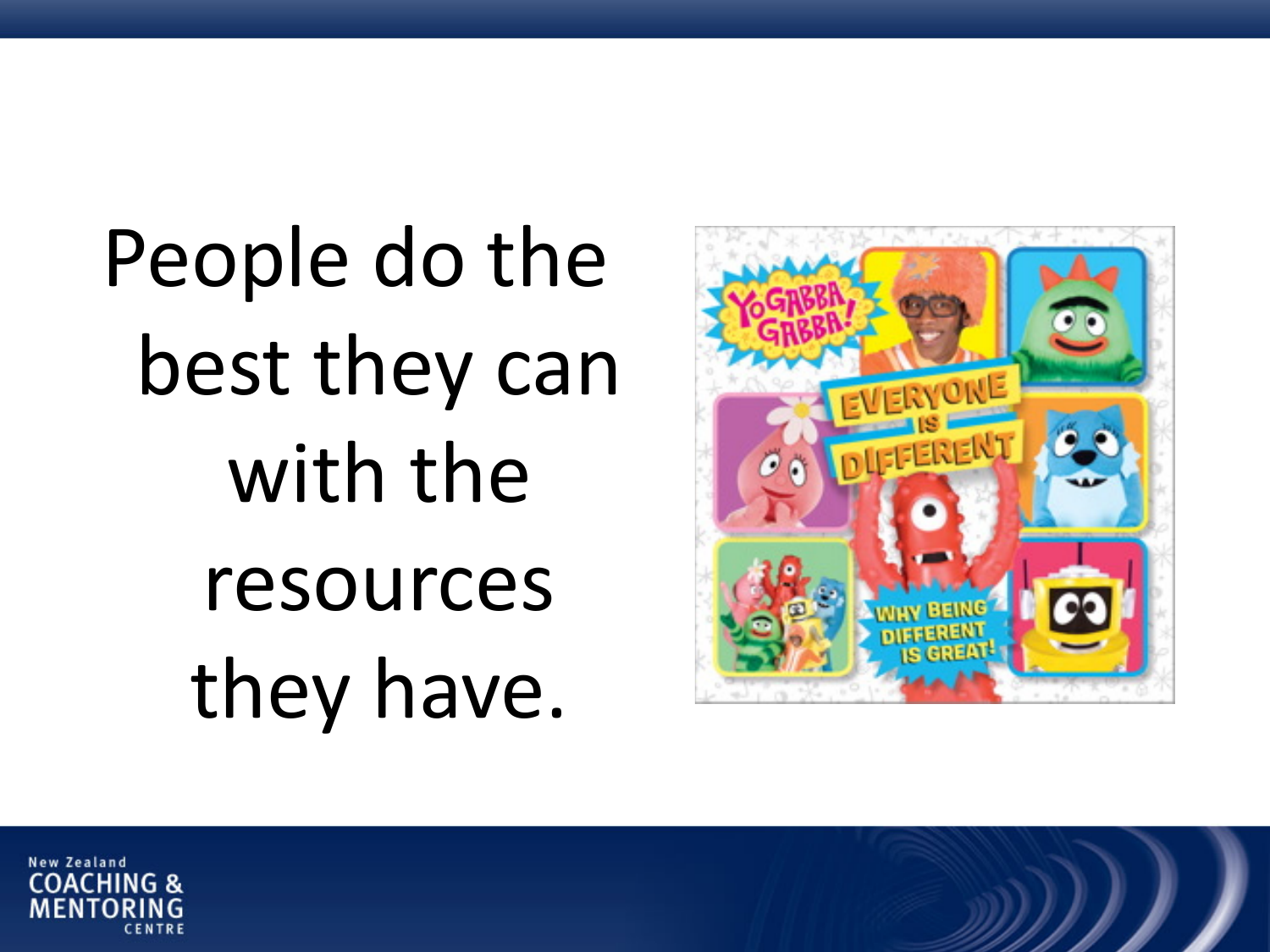People do the best they can with the resources they have.



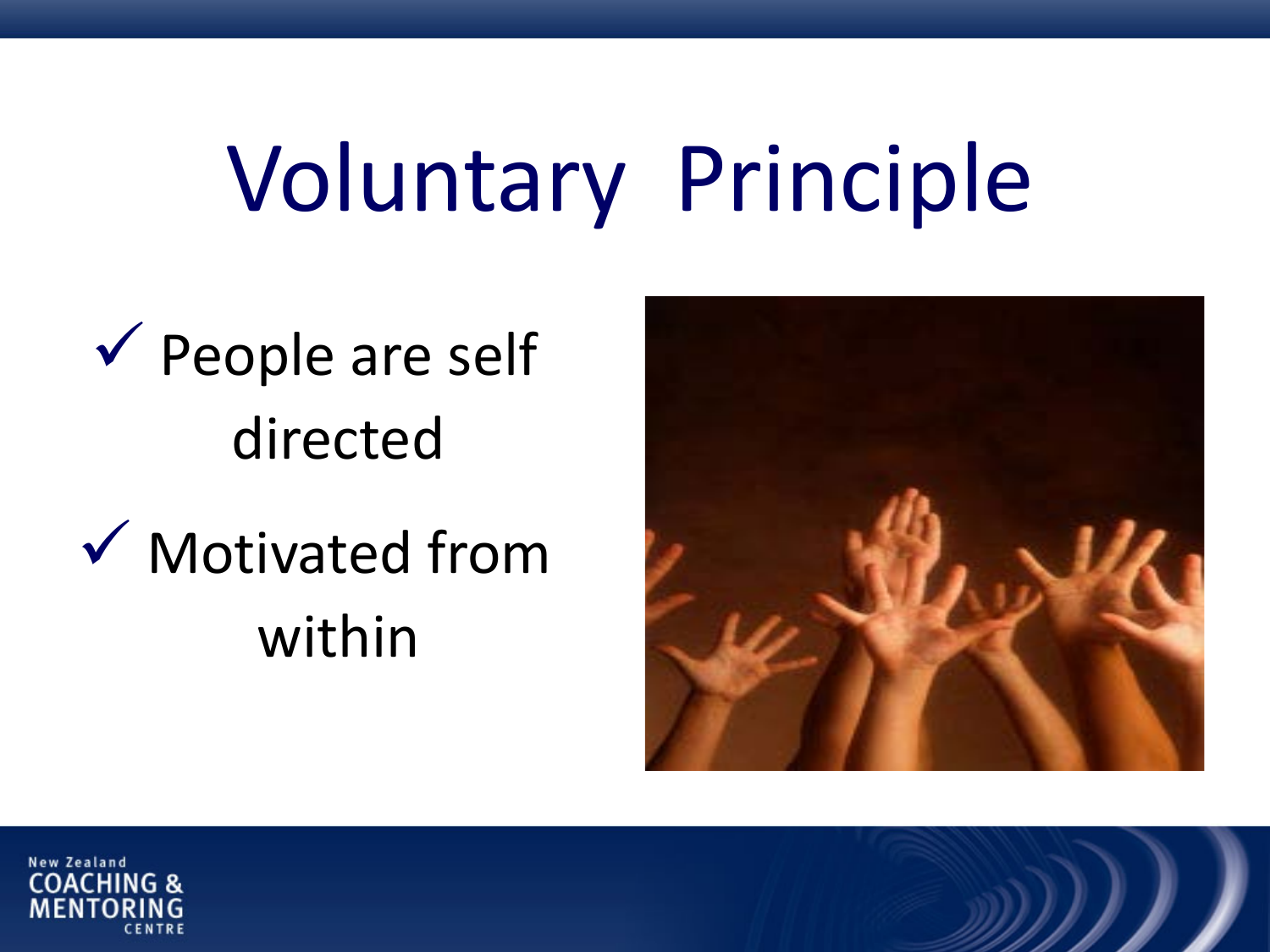## Voluntary Principle

 $\checkmark$  People are self directed  $\checkmark$  Motivated from within



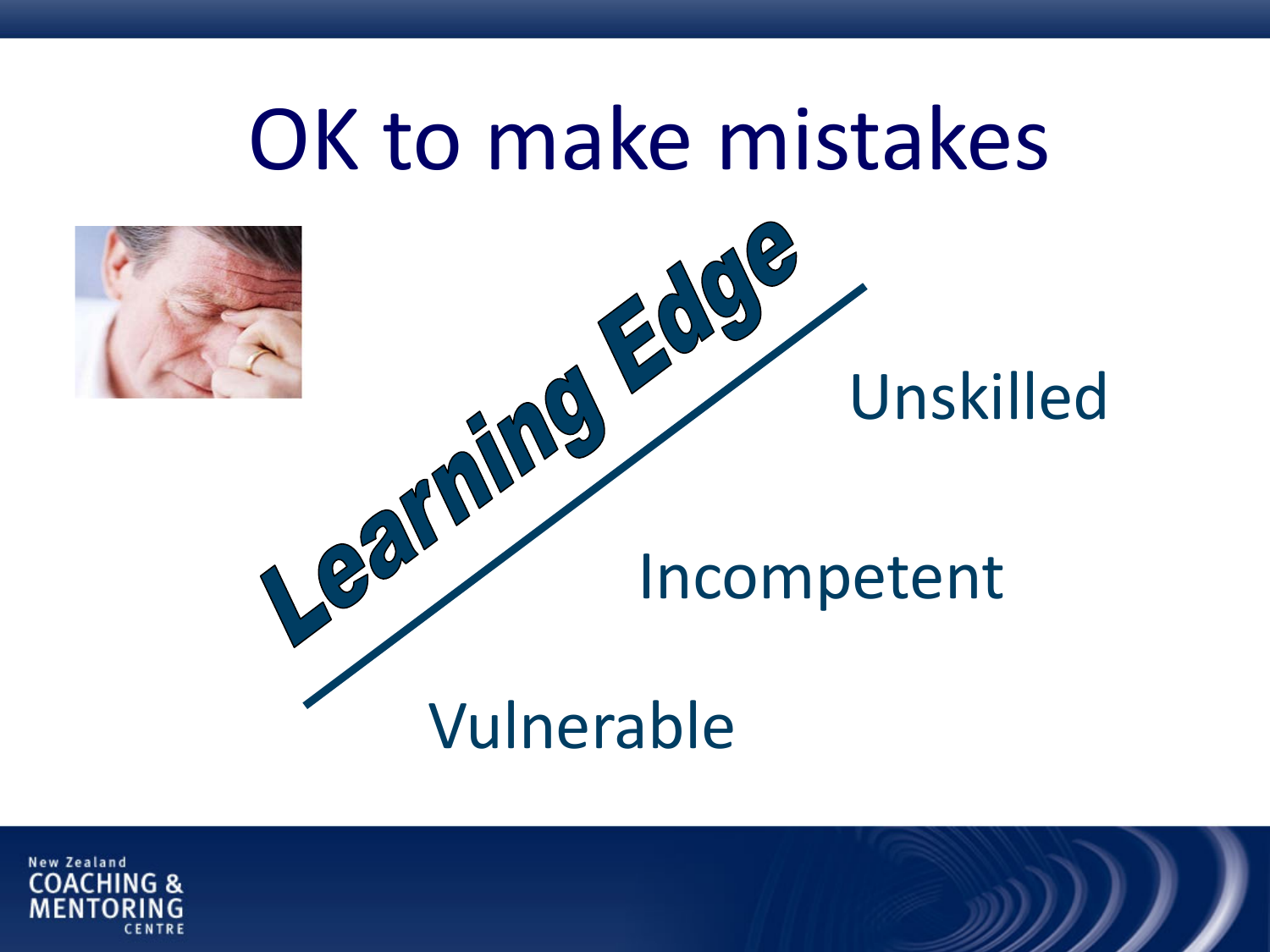

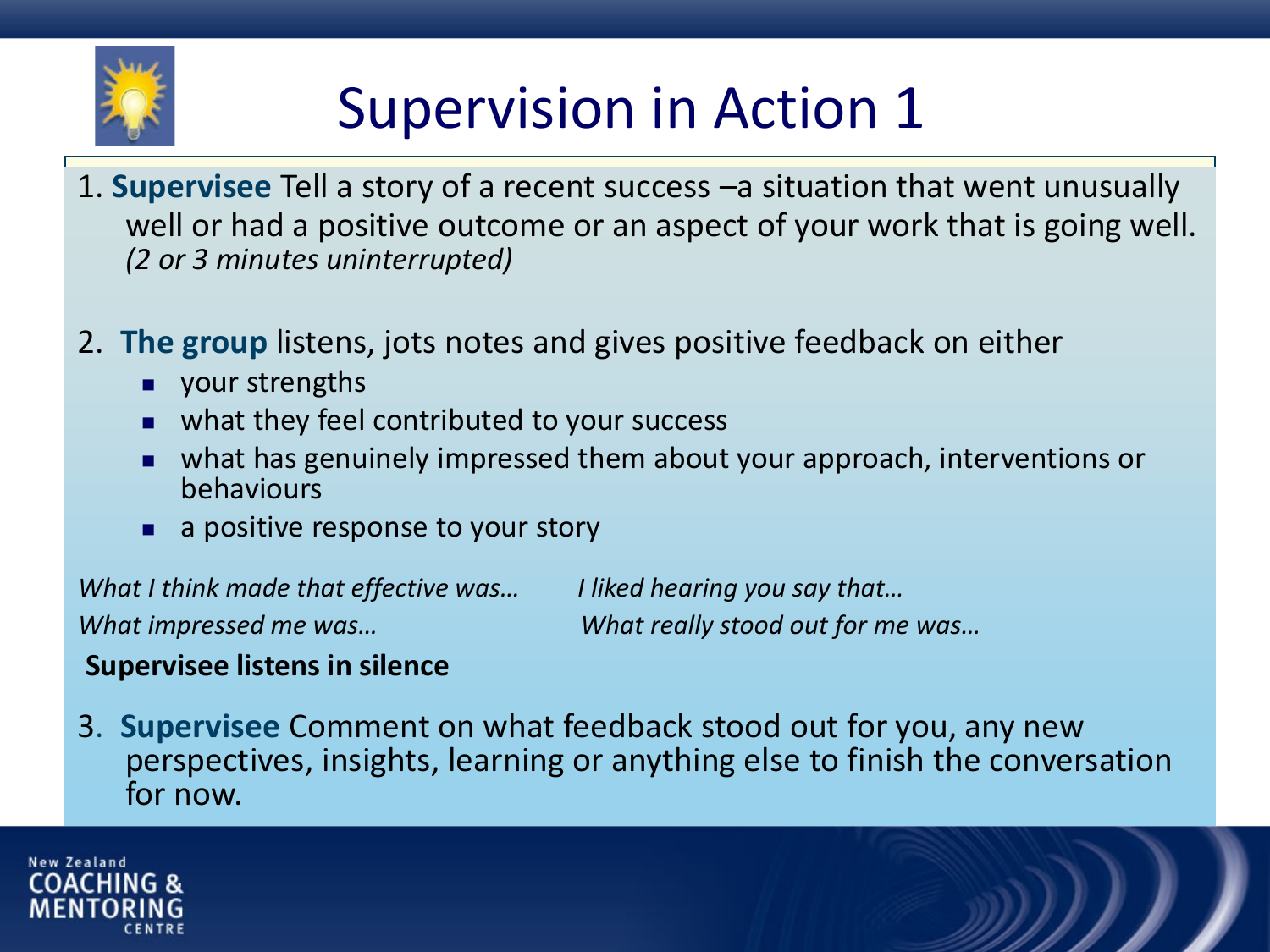

### Supervision in Action 1

- 1. **Supervisee** Tell a story of a recent success –a situation that went unusually well or had a positive outcome or an aspect of your work that is going well. *(2 or 3 minutes uninterrupted)*
- 2. **The group** listens, jots notes and gives positive feedback on either
	- your strengths
	- what they feel contributed to your success
	- what has genuinely impressed them about your approach, interventions or behaviours
	- **a** a positive response to your story

*What I think made that effective was… I liked hearing you say that… What impressed me was… What really stood out for me was…*

#### **Supervisee listens in silence**

3. **Supervisee** Comment on what feedback stood out for you, any new perspectives, insights, learning or anything else to finish the conversation for now.

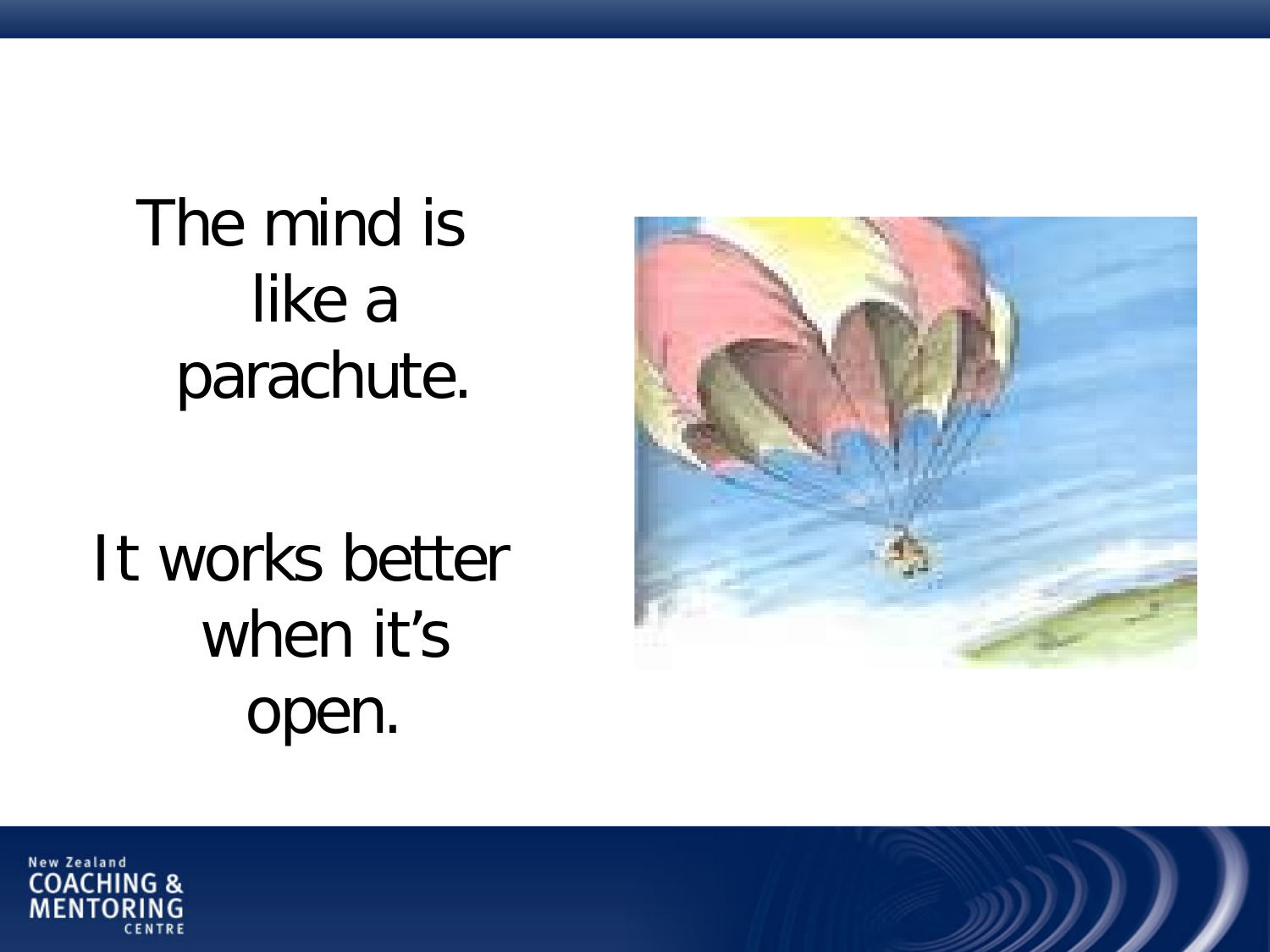The mind is like a parachute.

It works better when it's open.



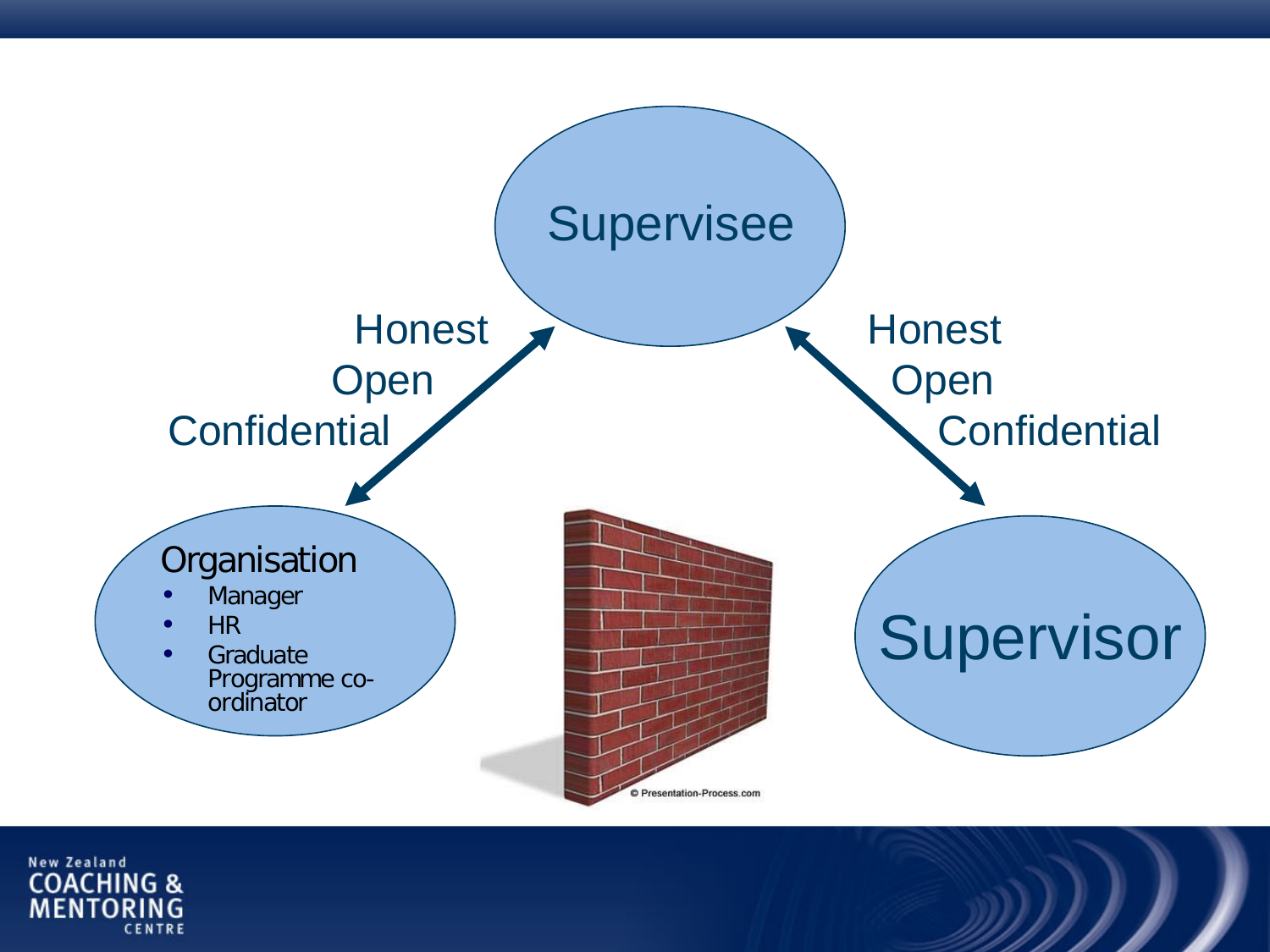

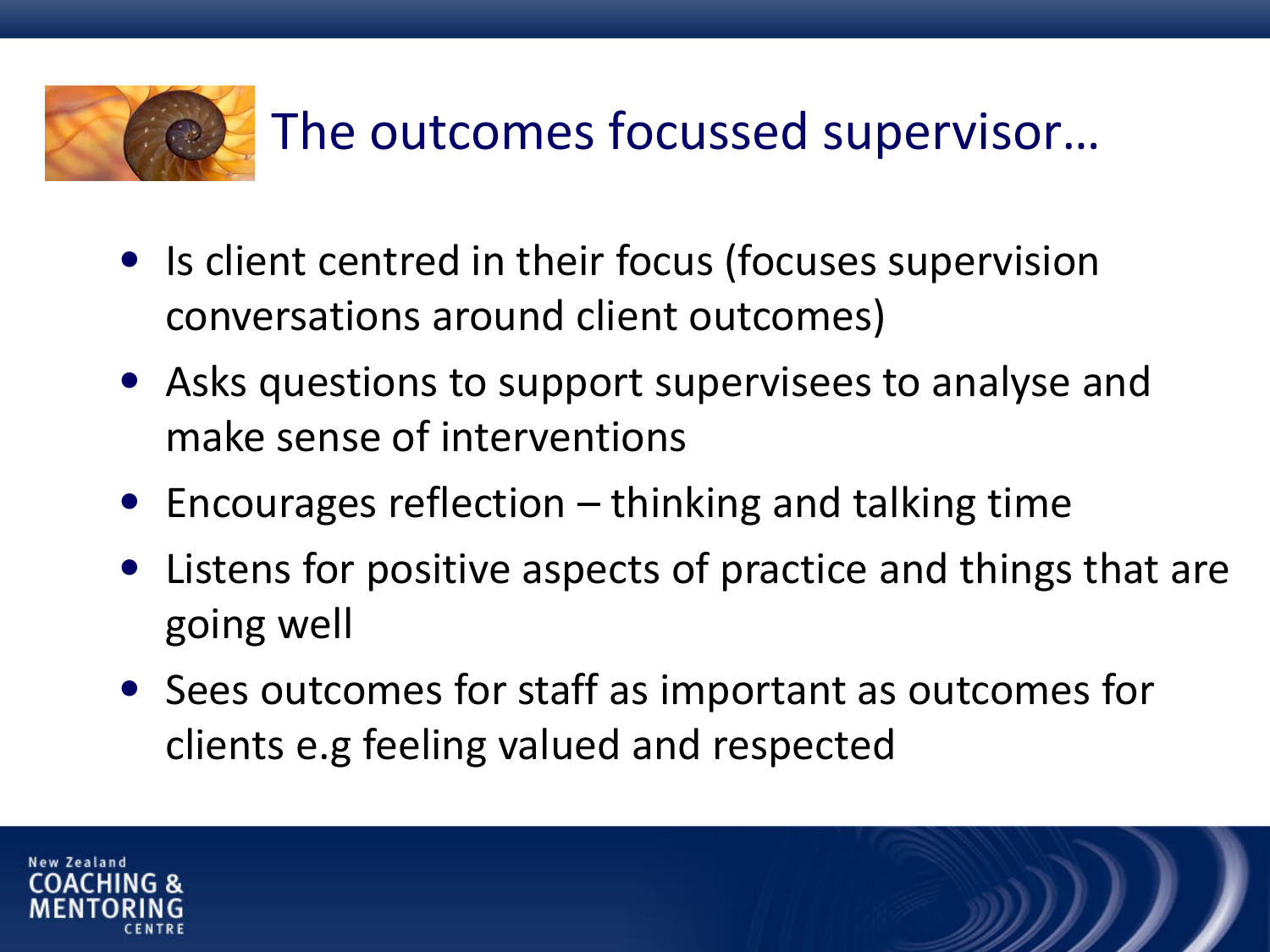

- Is client centred in their focus (focuses supervision conversations around client outcomes)
- Asks questions to support supervisees to analyse and make sense of interventions
- Encourages reflection thinking and talking time
- Listens for positive aspects of practice and things that are going well
- Sees outcomes for staff as important as outcomes for clients e.g feeling valued and respected

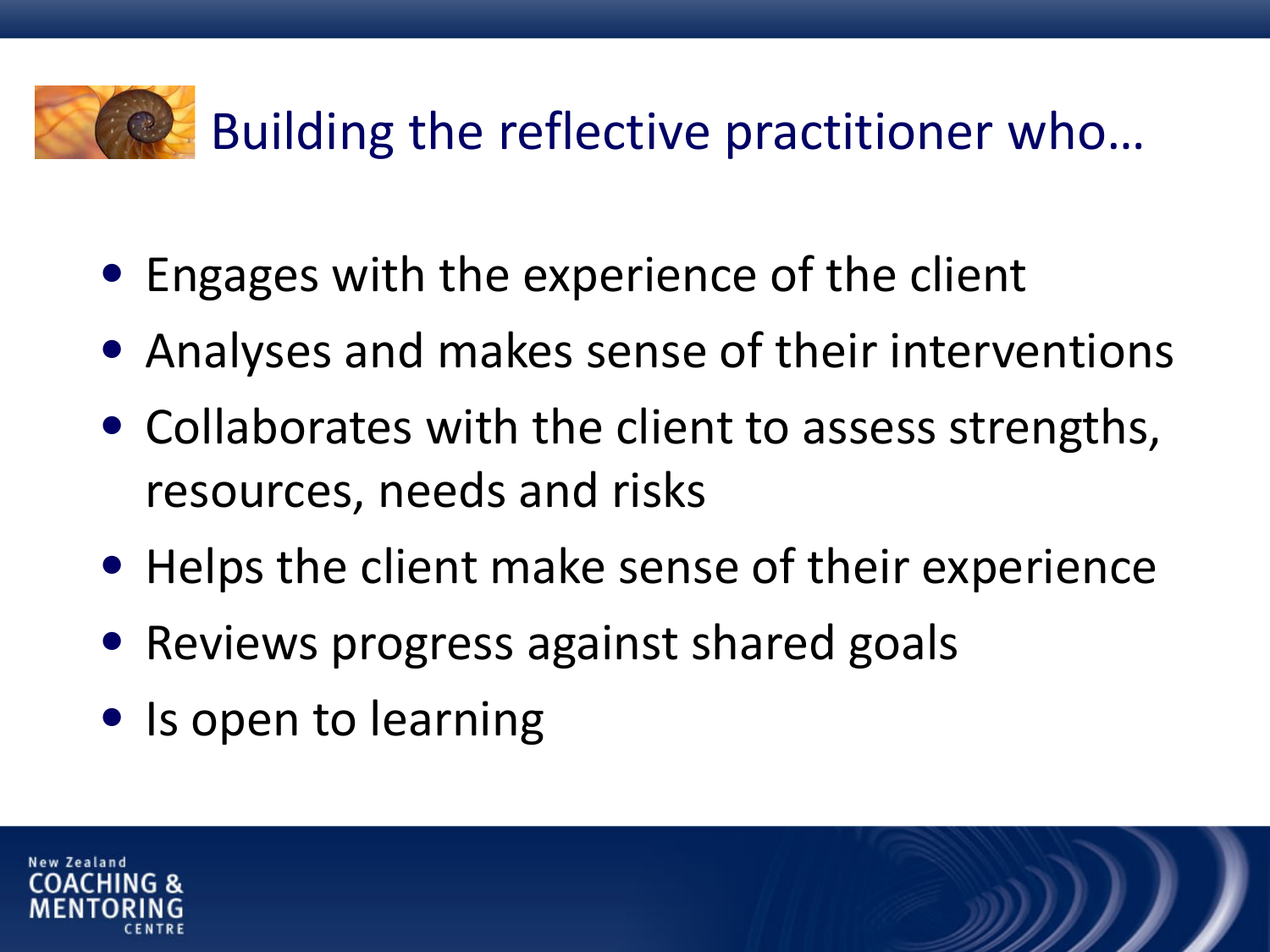### Building the reflective practitioner who…

- Engages with the experience of the client
- Analyses and makes sense of their interventions
- Collaborates with the client to assess strengths, resources, needs and risks
- Helps the client make sense of their experience
- Reviews progress against shared goals
- Is open to learning

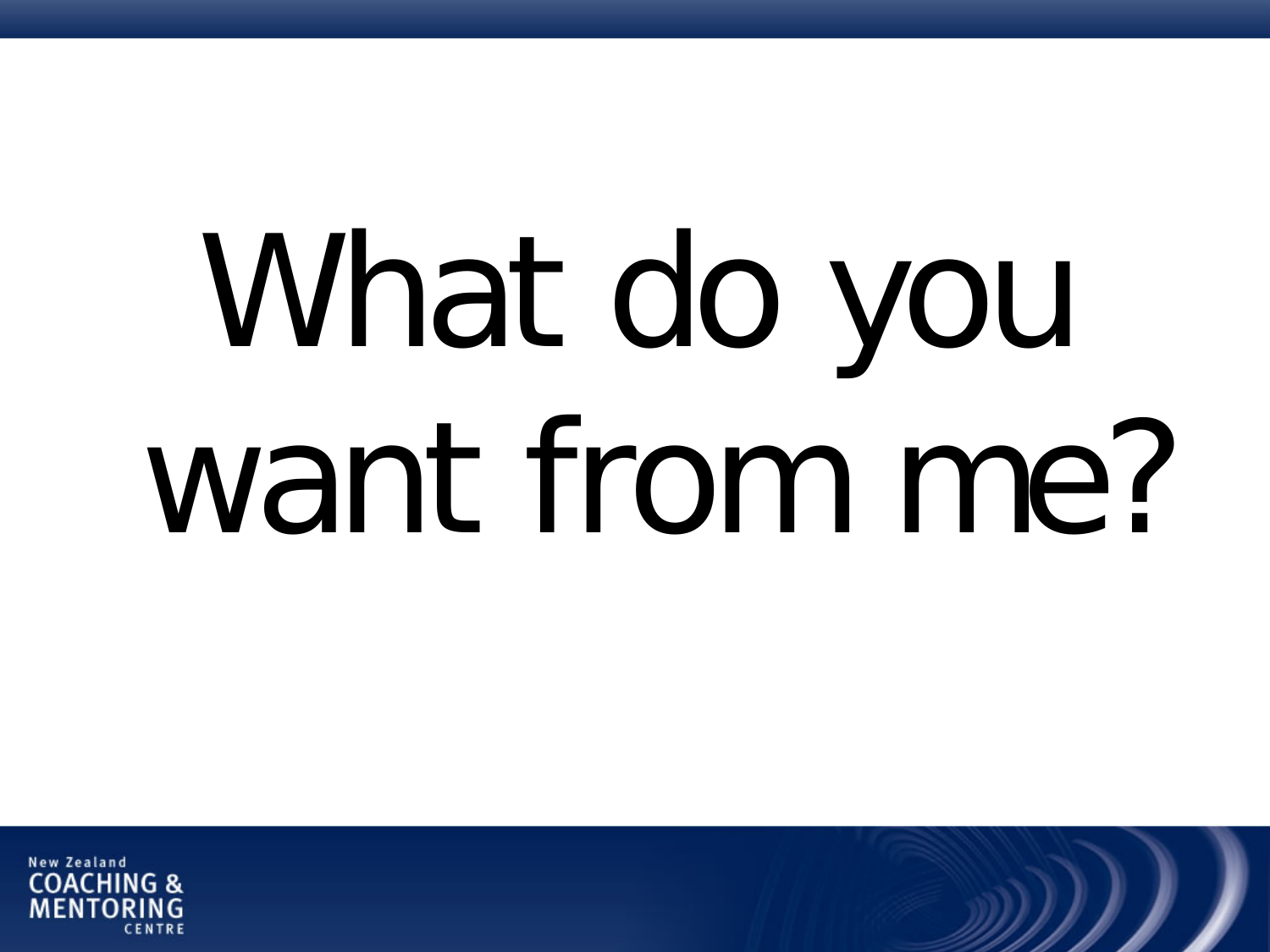# What do you want from me?